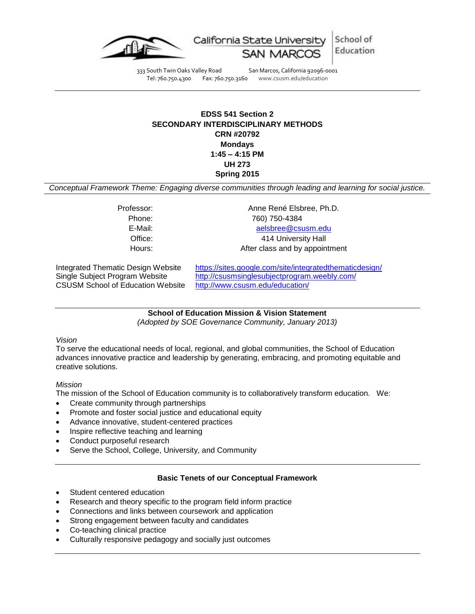

School of California State Univer Education

333 South Twin Oaks Valley Road San Marcos, California 92096-0001 Tel: 760.750.4300 Fax: 760.750.3160 www.csusm.edu/education

# **EDSS 541 Section 2 SECONDARY INTERDISCIPLINARY METHODS CRN #20792 Mondays 1:45 – 4:15 PM UH 273 Spring 2015**

*Conceptual Framework Theme: Engaging diverse communities through leading and learning for social justice.*

Professor: Anne René Elsbree, Ph.D. Phone: 760) 750-4384 E-Mail: [aelsbree@csusm.edu](mailto:aelsbree@csusm.edu) Office: 414 University Hall Hours: Hours: After class and by appointment

CSUSM School of Education Website <http://www.csusm.edu/education/>

Integrated Thematic Design Website <https://sites.google.com/site/integratedthematicdesign/> Single Subject Program Website <http://csusmsinglesubjectprogram.weebly.com/>

> **School of Education Mission & Vision Statement** *(Adopted by SOE Governance Community, January 2013)*

## *Vision*

To serve the educational needs of local, regional, and global communities, the School of Education advances innovative practice and leadership by generating, embracing, and promoting equitable and creative solutions.

## *Mission*

The mission of the School of Education community is to collaboratively transform education. We:

- Create community through partnerships
- Promote and foster social justice and educational equity
- Advance innovative, student-centered practices
- Inspire reflective teaching and learning
- Conduct purposeful research
- Serve the School, College, University, and Community

# **Basic Tenets of our Conceptual Framework**

- Student centered education
- Research and theory specific to the program field inform practice
- Connections and links between coursework and application
- Strong engagement between faculty and candidates
- Co-teaching clinical practice
- Culturally responsive pedagogy and socially just outcomes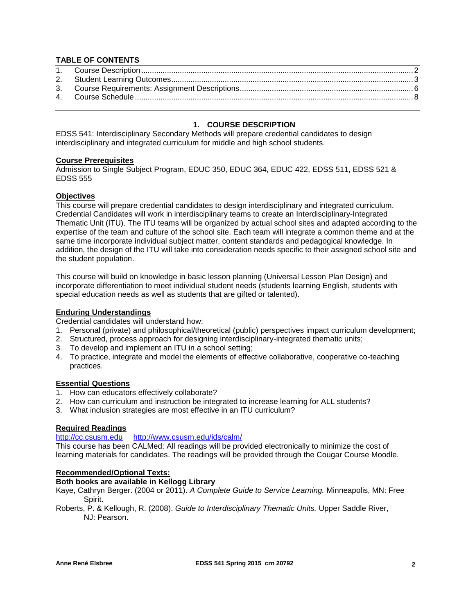## **TABLE OF CONTENTS**

# **1. COURSE DESCRIPTION**

<span id="page-1-0"></span>EDSS 541: Interdisciplinary Secondary Methods will prepare credential candidates to design interdisciplinary and integrated curriculum for middle and high school students.

#### **Course Prerequisites**

Admission to Single Subject Program, EDUC 350, EDUC 364, EDUC 422, EDSS 511, EDSS 521 & EDSS 555

#### **Objectives**

This course will prepare credential candidates to design interdisciplinary and integrated curriculum. Credential Candidates will work in interdisciplinary teams to create an Interdisciplinary-Integrated Thematic Unit (ITU). The ITU teams will be organized by actual school sites and adapted according to the expertise of the team and culture of the school site. Each team will integrate a common theme and at the same time incorporate individual subject matter, content standards and pedagogical knowledge. In addition, the design of the ITU will take into consideration needs specific to their assigned school site and the student population.

This course will build on knowledge in basic lesson planning (Universal Lesson Plan Design) and incorporate differentiation to meet individual student needs (students learning English, students with special education needs as well as students that are gifted or talented).

#### **Enduring Understandings**

Credential candidates will understand how:

- 1. Personal (private) and philosophical/theoretical (public) perspectives impact curriculum development;
- 2. Structured, process approach for designing interdisciplinary-integrated thematic units;
- 3. To develop and implement an ITU in a school setting;
- 4. To practice, integrate and model the elements of effective collaborative, cooperative co-teaching practices.

#### **Essential Questions**

- 1. How can educators effectively collaborate?
- 2. How can curriculum and instruction be integrated to increase learning for ALL students?
- 3. What inclusion strategies are most effective in an ITU curriculum?

#### **Required Readings**

#### [http://cc.csusm.edu](http://cc.csusm.edu/) <http://www.csusm.edu/ids/calm/>

This course has been CALMed: All readings will be provided electronically to minimize the cost of learning materials for candidates. The readings will be provided through the Cougar Course Moodle.

#### **Recommended/Optional Texts:**

# **Both books are available in Kellogg Library**

Kaye, Cathryn Berger. (2004 or 2011). *A Complete Guide to Service Learning.* Minneapolis, MN: Free Spirit.

Roberts, P. & Kellough, R. (2008). *Guide to Interdisciplinary Thematic Units.* Upper Saddle River, NJ: Pearson.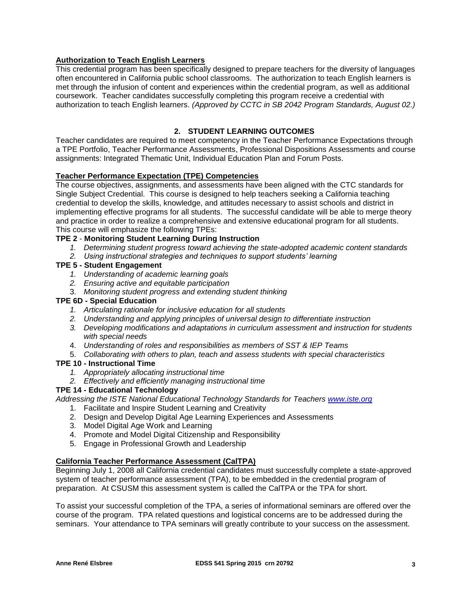# **Authorization to Teach English Learners**

This credential program has been specifically designed to prepare teachers for the diversity of languages often encountered in California public school classrooms. The authorization to teach English learners is met through the infusion of content and experiences within the credential program, as well as additional coursework. Teacher candidates successfully completing this program receive a credential with authorization to teach English learners. *(Approved by CCTC in SB 2042 Program Standards, August 02.)*

# **2. STUDENT LEARNING OUTCOMES**

<span id="page-2-0"></span>Teacher candidates are required to meet competency in the Teacher Performance Expectations through a TPE Portfolio, Teacher Performance Assessments, Professional Dispositions Assessments and course assignments: Integrated Thematic Unit, Individual Education Plan and Forum Posts.

## **Teacher Performance Expectation (TPE) Competencies**

The course objectives, assignments, and assessments have been aligned with the CTC standards for Single Subject Credential. This course is designed to help teachers seeking a California teaching credential to develop the skills, knowledge, and attitudes necessary to assist schools and district in implementing effective programs for all students. The successful candidate will be able to merge theory and practice in order to realize a comprehensive and extensive educational program for all students. This course will emphasize the following TPEs:

## **TPE 2** - **Monitoring Student Learning During Instruction**

- *1. Determining student progress toward achieving the state-adopted academic content standards*
- *2. Using instructional strategies and techniques to support students' learning*

# **TPE 5 - Student Engagement**

- *1. Understanding of academic learning goals*
- *2. Ensuring active and equitable participation*
- 3. *Monitoring student progress and extending student thinking*

#### **TPE 6D - Special Education**

- *1. Articulating rationale for inclusive education for all students*
- *2. Understanding and applying principles of universal design to differentiate instruction*
- *3. Developing modifications and adaptations in curriculum assessment and instruction for students with special needs*
- 4. *Understanding of roles and responsibilities as members of SST & IEP Teams*
- 5. *Collaborating with others to plan, teach and assess students with special characteristics*

## **TPE 10 - Instructional Time**

- *1. Appropriately allocating instructional time*
- *2. Effectively and efficiently managing instructional time*

#### **TPE 14 - Educational Technology**

*Addressing the ISTE National Educational Technology Standards for Teachers [www.iste.org](http://www.iste.org/)*

- 1. Facilitate and Inspire Student Learning and Creativity
- 2. Design and Develop Digital Age Learning Experiences and Assessments
- 3. Model Digital Age Work and Learning
- 4. Promote and Model Digital Citizenship and Responsibility
- 5. Engage in Professional Growth and Leadership

## **California Teacher Performance Assessment (CalTPA)**

Beginning July 1, 2008 all California credential candidates must successfully complete a state-approved system of teacher performance assessment (TPA), to be embedded in the credential program of preparation. At CSUSM this assessment system is called the CalTPA or the TPA for short.

To assist your successful completion of the TPA, a series of informational seminars are offered over the course of the program. TPA related questions and logistical concerns are to be addressed during the seminars. Your attendance to TPA seminars will greatly contribute to your success on the assessment.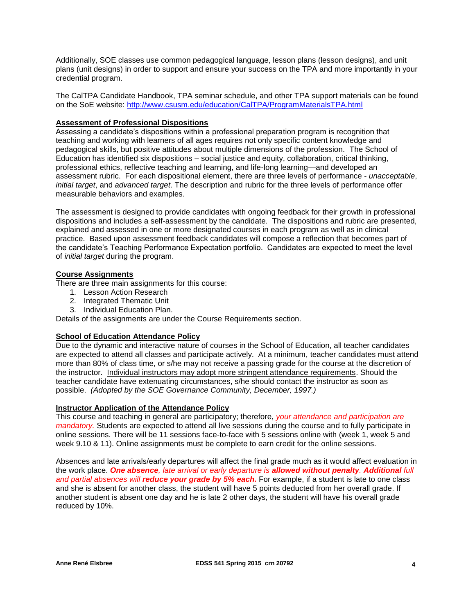Additionally, SOE classes use common pedagogical language, lesson plans (lesson designs), and unit plans (unit designs) in order to support and ensure your success on the TPA and more importantly in your credential program.

The CalTPA Candidate Handbook, TPA seminar schedule, and other TPA support materials can be found on the SoE website:<http://www.csusm.edu/education/CalTPA/ProgramMaterialsTPA.html>

### **Assessment of Professional Dispositions**

Assessing a candidate's dispositions within a professional preparation program is recognition that teaching and working with learners of all ages requires not only specific content knowledge and pedagogical skills, but positive attitudes about multiple dimensions of the profession. The School of Education has identified six dispositions – social justice and equity, collaboration, critical thinking, professional ethics, reflective teaching and learning, and life-long learning—and developed an assessment rubric. For each dispositional element, there are three levels of performance - *unacceptable*, *initial target*, and *advanced target*. The description and rubric for the three levels of performance offer measurable behaviors and examples.

The assessment is designed to provide candidates with ongoing feedback for their growth in professional dispositions and includes a self-assessment by the candidate. The dispositions and rubric are presented, explained and assessed in one or more designated courses in each program as well as in clinical practice. Based upon assessment feedback candidates will compose a reflection that becomes part of the candidate's Teaching Performance Expectation portfolio. Candidates are expected to meet the level of *initial target* during the program.

## **Course Assignments**

There are three main assignments for this course:

- 1. Lesson Action Research
- 2. Integrated Thematic Unit
- 3. Individual Education Plan.

Details of the assignments are under the Course Requirements section.

## **School of Education Attendance Policy**

Due to the dynamic and interactive nature of courses in the School of Education, all teacher candidates are expected to attend all classes and participate actively. At a minimum, teacher candidates must attend more than 80% of class time, or s/he may not receive a passing grade for the course at the discretion of the instructor. Individual instructors may adopt more stringent attendance requirements. Should the teacher candidate have extenuating circumstances, s/he should contact the instructor as soon as possible. *(Adopted by the SOE Governance Community, December, 1997.)*

#### **Instructor Application of the Attendance Policy**

This course and teaching in general are participatory; therefore, *your attendance and participation are mandatory.* Students are expected to attend all live sessions during the course and to fully participate in online sessions. There will be 11 sessions face-to-face with 5 sessions online with (week 1, week 5 and week 9.10 & 11). Online assignments must be complete to earn credit for the online sessions.

Absences and late arrivals/early departures will affect the final grade much as it would affect evaluation in the work place. *One absence, late arrival or early departure is allowed without penalty. Additional full and partial absences will reduce your grade by 5% each.* For example, if a student is late to one class and she is absent for another class, the student will have 5 points deducted from her overall grade. If another student is absent one day and he is late 2 other days, the student will have his overall grade reduced by 10%.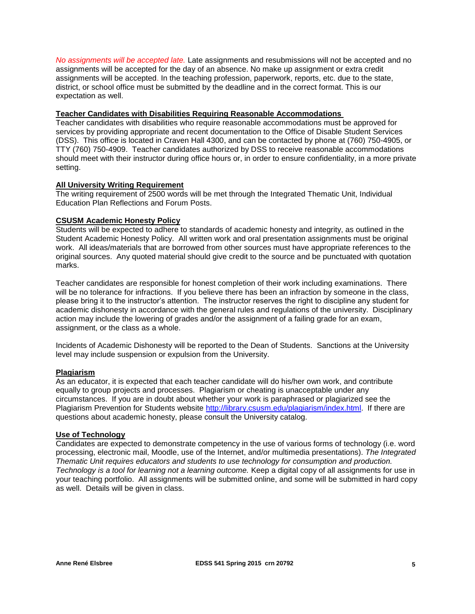*No assignments will be accepted late.* Late assignments and resubmissions will not be accepted and no assignments will be accepted for the day of an absence. No make up assignment or extra credit assignments will be accepted. In the teaching profession, paperwork, reports, etc. due to the state, district, or school office must be submitted by the deadline and in the correct format. This is our expectation as well.

#### **Teacher Candidates with Disabilities Requiring Reasonable Accommodations**

Teacher candidates with disabilities who require reasonable accommodations must be approved for services by providing appropriate and recent documentation to the Office of Disable Student Services (DSS). This office is located in Craven Hall 4300, and can be contacted by phone at (760) 750-4905, or TTY (760) 750-4909. Teacher candidates authorized by DSS to receive reasonable accommodations should meet with their instructor during office hours or, in order to ensure confidentiality, in a more private setting.

## **All University Writing Requirement**

The writing requirement of 2500 words will be met through the Integrated Thematic Unit, Individual Education Plan Reflections and Forum Posts.

#### **CSUSM Academic Honesty Policy**

Students will be expected to adhere to standards of academic honesty and integrity, as outlined in the Student Academic Honesty Policy. All written work and oral presentation assignments must be original work. All ideas/materials that are borrowed from other sources must have appropriate references to the original sources. Any quoted material should give credit to the source and be punctuated with quotation marks.

Teacher candidates are responsible for honest completion of their work including examinations. There will be no tolerance for infractions. If you believe there has been an infraction by someone in the class, please bring it to the instructor's attention. The instructor reserves the right to discipline any student for academic dishonesty in accordance with the general rules and regulations of the university. Disciplinary action may include the lowering of grades and/or the assignment of a failing grade for an exam, assignment, or the class as a whole.

Incidents of Academic Dishonesty will be reported to the Dean of Students. Sanctions at the University level may include suspension or expulsion from the University.

#### **Plagiarism**

As an educator, it is expected that each teacher candidate will do his/her own work, and contribute equally to group projects and processes. Plagiarism or cheating is unacceptable under any circumstances. If you are in doubt about whether your work is paraphrased or plagiarized see the Plagiarism Prevention for Students website [http://library.csusm.edu/plagiarism/index.html.](http://library.csusm.edu/plagiarism/index.html) If there are questions about academic honesty, please consult the University catalog.

#### **Use of Technology**

Candidates are expected to demonstrate competency in the use of various forms of technology (i.e. word processing, electronic mail, Moodle, use of the Internet, and/or multimedia presentations). *The Integrated Thematic Unit requires educators and students to use technology for consumption and production. Technology is a tool for learning not a learning outcome.* Keep a digital copy of all assignments for use in your teaching portfolio. All assignments will be submitted online, and some will be submitted in hard copy as well. Details will be given in class.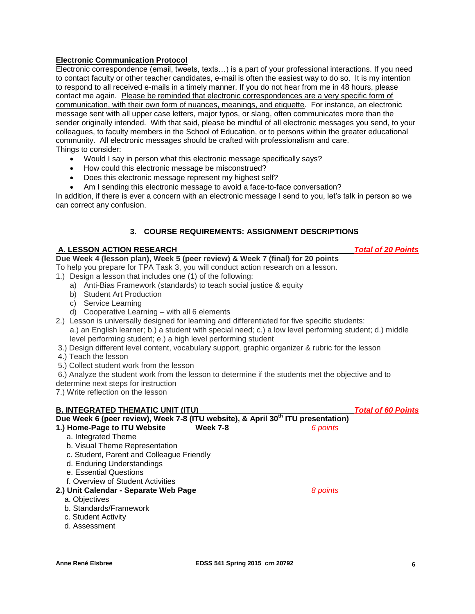## **Electronic Communication Protocol**

Electronic correspondence (email, tweets, texts…) is a part of your professional interactions. If you need to contact faculty or other teacher candidates, e-mail is often the easiest way to do so. It is my intention to respond to all received e-mails in a timely manner. If you do not hear from me in 48 hours, please contact me again. Please be reminded that electronic correspondences are a very specific form of communication, with their own form of nuances, meanings, and etiquette. For instance, an electronic message sent with all upper case letters, major typos, or slang, often communicates more than the sender originally intended. With that said, please be mindful of all electronic messages you send, to your colleagues, to faculty members in the School of Education, or to persons within the greater educational community. All electronic messages should be crafted with professionalism and care. Things to consider:

- Would I say in person what this electronic message specifically says?
- How could this electronic message be misconstrued?
- Does this electronic message represent my highest self?
- Am I sending this electronic message to avoid a face-to-face conversation?

In addition, if there is ever a concern with an electronic message I send to you, let's talk in person so we can correct any confusion.

## **3. COURSE REQUIREMENTS: ASSIGNMENT DESCRIPTIONS**

#### <span id="page-5-0"></span>**A. LESSON ACTION RESEARCH** *Total of 20 Points*

**Due Week 4 (lesson plan), Week 5 (peer review) & Week 7 (final) for 20 points**

- To help you prepare for TPA Task 3, you will conduct action research on a lesson.
- 1.) Design a lesson that includes one (1) of the following:
	- a) Anti-Bias Framework (standards) to teach social justice & equity
	- b) Student Art Production
	- c) Service Learning
	- d) Cooperative Learning with all 6 elements
- 2.) Lesson is universally designed for learning and differentiated for five specific students: a.) an English learner; b.) a student with special need; c.) a low level performing student; d.) middle level performing student; e.) a high level performing student
- 3.) Design different level content, vocabulary support, graphic organizer & rubric for the lesson
- 4.) Teach the lesson
- 5.) Collect student work from the lesson
- 6.) Analyze the student work from the lesson to determine if the students met the objective and to
- determine next steps for instruction

7.) Write reflection on the lesson

#### **B. INTEGRATED THEMATIC UNIT (ITU)** *Total of 60 Points*

| Due Week 6 (peer review), Week 7-8 (ITU website), & April 30 <sup>th</sup> ITU presentation) |                 |          |  |  |  |
|----------------------------------------------------------------------------------------------|-----------------|----------|--|--|--|
| 1.) Home-Page to ITU Website                                                                 | <b>Week 7-8</b> | 6 points |  |  |  |
| a. Integrated Theme                                                                          |                 |          |  |  |  |
| b. Visual Theme Representation                                                               |                 |          |  |  |  |
| c. Student, Parent and Colleague Friendly                                                    |                 |          |  |  |  |
| d. Enduring Understandings                                                                   |                 |          |  |  |  |
| e. Essential Questions                                                                       |                 |          |  |  |  |
| f. Overview of Student Activities                                                            |                 |          |  |  |  |
| 2.) Unit Calendar - Separate Web Page                                                        |                 | 8 points |  |  |  |
| a. Objectives                                                                                |                 |          |  |  |  |
| b. Standards/Framework                                                                       |                 |          |  |  |  |
| c. Student Activity                                                                          |                 |          |  |  |  |
| d. Assessment                                                                                |                 |          |  |  |  |
|                                                                                              |                 |          |  |  |  |
|                                                                                              |                 |          |  |  |  |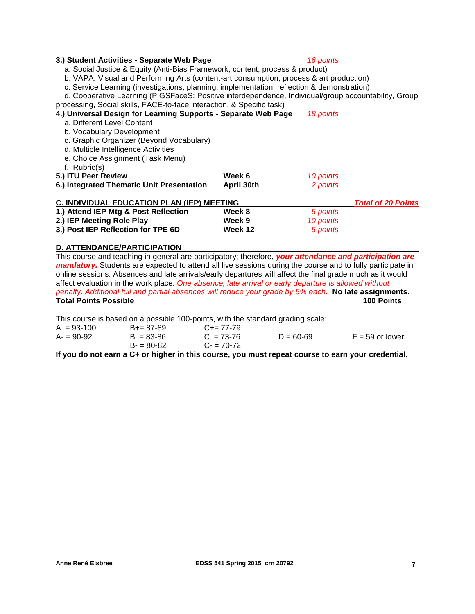### **3.) Student Activities - Separate Web Page** *16 points*

a. Social Justice & Equity (Anti-Bias Framework, content, process & product)

b. VAPA: Visual and Performing Arts (content-art consumption, process & art production)

c. Service Learning (investigations, planning, implementation, reflection & demonstration)

d. Cooperative Learning (PIGSFaceS: Positive interdependence, Individual/group accountability, Group processing, Social skills, FACE-to-face interaction, & Specific task)

| 4.) Universal Design for Learning Supports - Separate Web Page<br>a. Different Level Content<br>b. Vocabulary Development<br>c. Graphic Organizer (Beyond Vocabulary)<br>d. Multiple Intelligence Activities<br>e. Choice Assignment (Task Menu)<br>f. Rubric(s) |            | 18 points                 |  |
|------------------------------------------------------------------------------------------------------------------------------------------------------------------------------------------------------------------------------------------------------------------|------------|---------------------------|--|
| 5.) ITU Peer Review                                                                                                                                                                                                                                              | Week 6     | 10 points                 |  |
| 6.) Integrated Thematic Unit Presentation                                                                                                                                                                                                                        | April 30th | 2 points                  |  |
| <b>C. INDIVIDUAL EDUCATION PLAN (IEP) MEETING</b>                                                                                                                                                                                                                |            | <b>Total of 20 Points</b> |  |
| 1.) Attend IEP Mtg & Post Reflection                                                                                                                                                                                                                             | Week 8     | 5 points                  |  |
| 2.) IEP Meeting Role Play                                                                                                                                                                                                                                        | Week 9     | 10 points                 |  |
| 3.) Post IEP Reflection for TPE 6D                                                                                                                                                                                                                               | Week 12    | 5 points                  |  |

#### **D. ATTENDANCE/PARTICIPATION**

This course and teaching in general are participatory; therefore, *your attendance and participation are mandatory*. Students are expected to attend all live sessions during the course and to fully participate in online sessions. Absences and late arrivals/early departures will affect the final grade much as it would affect evaluation in the work place. *One absence, late arrival or early departure is allowed without penalty. Additional full and partial absences will reduce your grade by 5% each.* **No late assignments**. **Total Points Possible 100 Points**

This course is based on a possible 100-points, with the standard grading scale:

| $A = 93-100$ | $B+=87-89$    | $C+= 77-79$ |               |                    |
|--------------|---------------|-------------|---------------|--------------------|
| $A = 90-92$  | $B = 83 - 86$ | $C = 73-76$ | $D = 60 - 69$ | $F = 59$ or lower. |
|              | $B = 80-82$   | $C - 70-72$ |               |                    |

**If you do not earn a C+ or higher in this course, you must repeat course to earn your credential.**